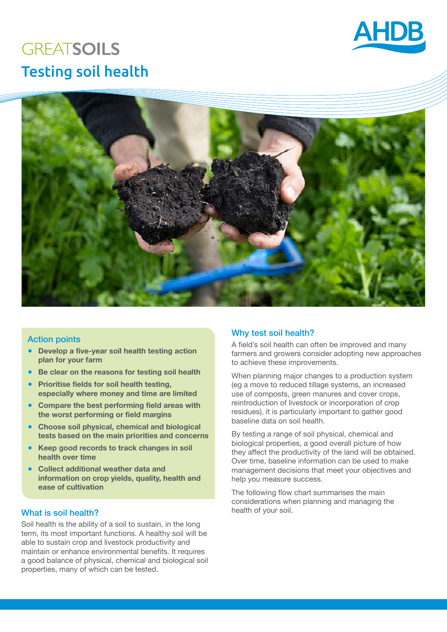

# **GREATSOILS** Testing soil health



## Action points

- **Develop a five-year soil health testing action plan for your farm**
- **Be clear on the reasons for testing soil health**
- **Prioritise fields for soil health testing, especially where money and time are limited**
- **Compare the best performing field areas with the worst performing or field margins**
- **Choose soil physical, chemical and biological tests based on the main priorities and concerns**
- **Keep good records to track changes in soil health over time**
- **Collect additional weather data and information on crop yields, quality, health and ease of cultivation**

# What is soil health? health of your soil.

Soil health is the ability of a soil to sustain, in the long term, its most important functions. A healthy soil will be able to sustain crop and livestock productivity and maintain or enhance environmental benefits. It requires a good balance of physical, chemical and biological soil properties, many of which can be tested.

## Why test soil health?

A field's soil health can often be improved and many farmers and growers consider adopting new approaches to achieve these improvements.

When planning major changes to a production system (eg a move to reduced tillage systems, an increased use of composts, green manures and cover crops, reintroduction of livestock or incorporation of crop residues), it is particularly important to gather good baseline data on soil health.

By testing a range of soil physical, chemical and biological properties, a good overall picture of how they affect the productivity of the land will be obtained. Over time, baseline information can be used to make management decisions that meet your objectives and help you measure success.

The following flow chart summarises the main considerations when planning and managing the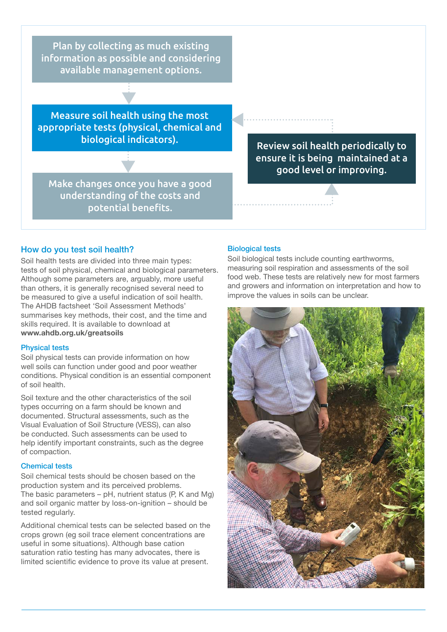Plan by collecting as much existing information as possible and considering available management options.

Measure soil health using the most appropriate tests (physical, chemical and biological indicators).

Make changes once you have a good understanding of the costs and potential benefits.

Review soil health periodically to ensure it is being maintained at a good level or improving.

#### How do you test soil health?

Soil health tests are divided into three main types: tests of soil physical, chemical and biological parameters. Although some parameters are, arguably, more useful than others, it is generally recognised several need to be measured to give a useful indication of soil health. The AHDB factsheet 'Soil Assessment Methods' summarises key methods, their cost, and the time and skills required. It is available to download at **www.ahdb.org.uk/greatsoils** 

#### Physical tests

Soil physical tests can provide information on how well soils can function under good and poor weather conditions. Physical condition is an essential component of soil health.

Soil texture and the other characteristics of the soil types occurring on a farm should be known and documented. Structural assessments, such as the Visual Evaluation of Soil Structure (VESS), can also be conducted. Such assessments can be used to help identify important constraints, such as the degree of compaction.

#### Chemical tests

Soil chemical tests should be chosen based on the production system and its perceived problems. The basic parameters  $-$  pH, nutrient status (P, K and Mg) and soil organic matter by loss-on-ignition – should be tested regularly.

Additional chemical tests can be selected based on the crops grown (eg soil trace element concentrations are useful in some situations). Although base cation saturation ratio testing has many advocates, there is limited scientific evidence to prove its value at present.

#### Biological tests

Soil biological tests include counting earthworms, measuring soil respiration and assessments of the soil food web. These tests are relatively new for most farmers and growers and information on interpretation and how to improve the values in soils can be unclear.

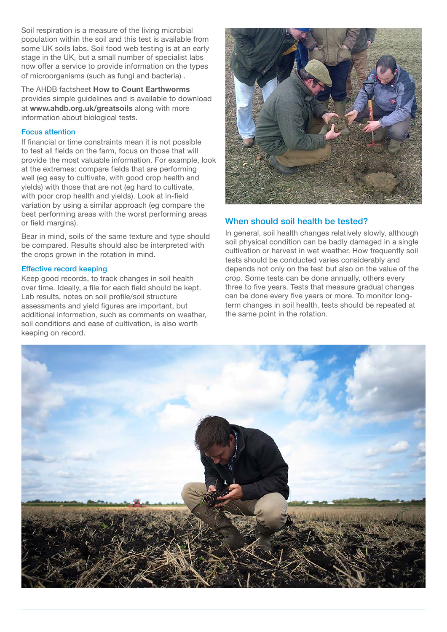Soil respiration is a measure of the living microbial population within the soil and this test is available from some UK soils labs. Soil food web testing is at an early stage in the UK, but a small number of specialist labs now offer a service to provide information on the types of microorganisms (such as fungi and bacteria) .

The AHDB factsheet **How to Count Earthworms** provides simple guidelines and is available to download at **www.ahdb.org.uk/greatsoils** along with more information about biological tests.

#### Focus attention

If financial or time constraints mean it is not possible to test all fields on the farm, focus on those that will provide the most valuable information. For example, look at the extremes: compare fields that are performing well (eg easy to cultivate, with good crop health and yields) with those that are not (eg hard to cultivate, with poor crop health and yields). Look at in-field variation by using a similar approach (eg compare the best performing areas with the worst performing areas or field margins).

Bear in mind, soils of the same texture and type should be compared. Results should also be interpreted with the crops grown in the rotation in mind.

#### Effective record keeping

Keep good records, to track changes in soil health over time. Ideally, a file for each field should be kept. Lab results, notes on soil profile/soil structure assessments and yield figures are important, but additional information, such as comments on weather, soil conditions and ease of cultivation, is also worth keeping on record.



# When should soil health be tested?

In general, soil health changes relatively slowly, although soil physical condition can be badly damaged in a single cultivation or harvest in wet weather. How frequently soil tests should be conducted varies considerably and depends not only on the test but also on the value of the crop. Some tests can be done annually, others every three to five years. Tests that measure gradual changes can be done every five years or more. To monitor longterm changes in soil health, tests should be repeated at the same point in the rotation.